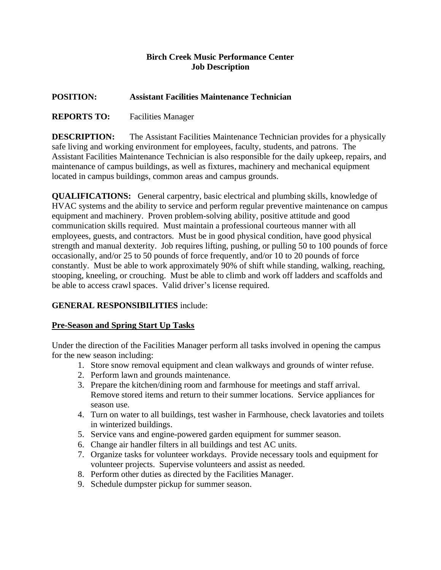## **Birch Creek Music Performance Center Job Description**

## **POSITION: Assistant Facilities Maintenance Technician**

# **REPORTS TO:** Facilities Manager

**DESCRIPTION:** The Assistant Facilities Maintenance Technician provides for a physically safe living and working environment for employees, faculty, students, and patrons. The Assistant Facilities Maintenance Technician is also responsible for the daily upkeep, repairs, and maintenance of campus buildings, as well as fixtures, machinery and mechanical equipment located in campus buildings, common areas and campus grounds.

**QUALIFICATIONS:** General carpentry, basic electrical and plumbing skills, knowledge of HVAC systems and the ability to service and perform regular preventive maintenance on campus equipment and machinery. Proven problem-solving ability, positive attitude and good communication skills required. Must maintain a professional courteous manner with all employees, guests, and contractors. Must be in good physical condition, have good physical strength and manual dexterity. Job requires lifting, pushing, or pulling 50 to 100 pounds of force occasionally, and/or 25 to 50 pounds of force frequently, and/or 10 to 20 pounds of force constantly. Must be able to work approximately 90% of shift while standing, walking, reaching, stooping, kneeling, or crouching. Must be able to climb and work off ladders and scaffolds and be able to access crawl spaces. Valid driver's license required.

# **GENERAL RESPONSIBILITIES** include:

## **Pre-Season and Spring Start Up Tasks**

Under the direction of the Facilities Manager perform all tasks involved in opening the campus for the new season including:

- 1. Store snow removal equipment and clean walkways and grounds of winter refuse.
- 2. Perform lawn and grounds maintenance.
- 3. Prepare the kitchen/dining room and farmhouse for meetings and staff arrival. Remove stored items and return to their summer locations. Service appliances for season use.
- 4. Turn on water to all buildings, test washer in Farmhouse, check lavatories and toilets in winterized buildings.
- 5. Service vans and engine-powered garden equipment for summer season.
- 6. Change air handler filters in all buildings and test AC units.
- 7. Organize tasks for volunteer workdays. Provide necessary tools and equipment for volunteer projects. Supervise volunteers and assist as needed.
- 8. Perform other duties as directed by the Facilities Manager.
- 9. Schedule dumpster pickup for summer season.